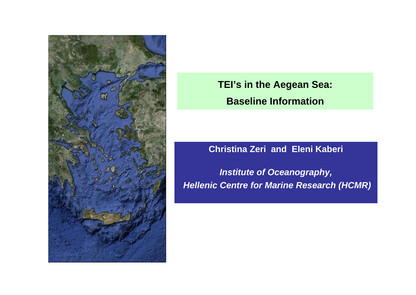

**TEI's in the Aegean Sea: Baseline Information**

### **Christina Zeri and Eleni Kaberi**

*Institute of Oceanography, Hellenic Centre for Marine Research (HCMR)*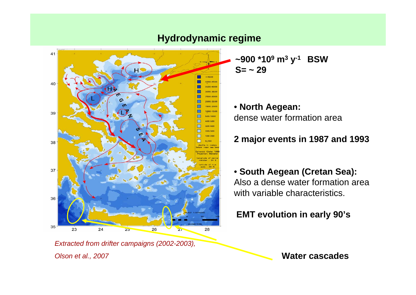

**Hydrodynamic regime**

**~900 \*109 <sup>m</sup><sup>3</sup> y-1 BSW S= ~ 29**

• **North Aegean:**  dense water formation area

# **2 major events in 1987 and 1993**

• **South Aegean (Cretan Sea):** Also a dense water formation area with variable characteristics.

**EMT evolution in early 90's**

*Extracted from drifter campaigns (2002-2003), Olson et al., 2007*

**Water cascades**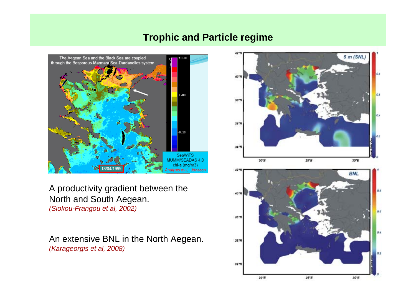## **Trophic and Particle regime**



A productivity gradient between the North and South Aegean. *(Siokou-Frangou et al, 2002)*

An extensive BNL in the North Aegean. *(Karageorgis et al, 2008)*

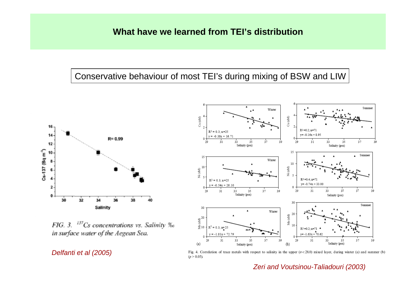## Conservative behaviour of most TEI's during mixing of BSW and LIW



FIG. 3. <sup>137</sup>Cs concentrations vs. Salinity ‰ in surface water of the Aegean Sea.

#### *Delfanti et al (2005)*



Fig. 4. Correlation of trace metals with respect to salinity in the upper  $(\sigma < 28.0)$  mixed layer, during winter (a) and summer (b)  $(p > 0.05)$ .

*Zeri and Voutsinou-Taliadouri (2003)*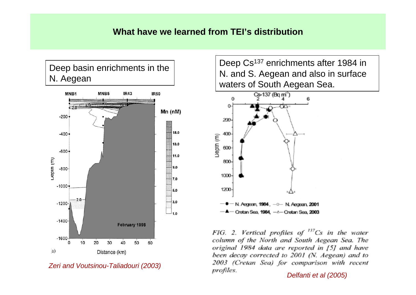#### **What have we learned from TEI's distribution**



*Zeri and Voutsinou-Taliadouri (2003)*

Deep Cs<sup>137</sup> enrichments after 1984 in N. and S. Aegean and also in surface waters of South Aegean Sea.



FIG. 2. Vertical profiles of  $^{137}Cs$  in the water column of the North and South Aegean Sea. The original 1984 data are reported in [5] and have been decay corrected to 2001 (N. Aegean) and to 2003 (Cretan Sea) for comparison with recent profiles.

*Delfanti et al (2005)*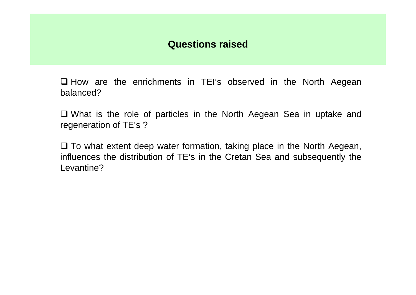# **Questions raised**

 $\square$  How are the enrichments in TEI's observed in the North Aegean balanced?

 What is the role of particles in the North Aegean Sea in uptake and regeneration of TE's ?

 $\square$  To what extent deep water formation, taking place in the North Aegean, influences the distribution of TE's in the Cretan Sea and subsequently the Levantine?